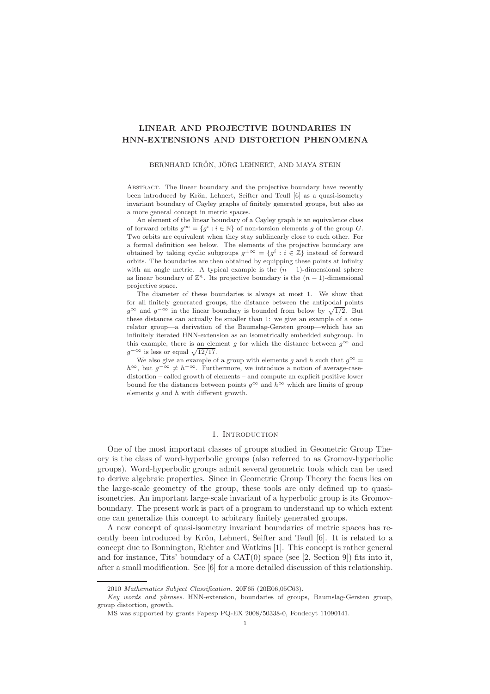# LINEAR AND PROJECTIVE BOUNDARIES IN HNN-EXTENSIONS AND DISTORTION PHENOMENA

# BERNHARD KRÖN, JÖRG LEHNERT, AND MAYA STEIN

Abstract. The linear boundary and the projective boundary have recently been introduced by Krön, Lehnert, Seifter and Teufl [6] as a quasi-isometry invariant boundary of Cayley graphs of finitely generated groups, but also as a more general concept in metric spaces.

An element of the linear boundary of a Cayley graph is an equivalence class of forward orbits  $g^{\infty} = \{g^i : i \in \mathbb{N}\}\$  of non-torsion elements g of the group G. Two orbits are equivalent when they stay sublinearly close to each other. For a formal definition see below. The elements of the projective boundary are obtained by taking cyclic subgroups  $g^{\pm \infty} = \{g^i : i \in \mathbb{Z}\}\$  instead of forward orbits. The boundaries are then obtained by equipping these points at infinity with an angle metric. A typical example is the  $(n - 1)$ -dimensional sphere as linear boundary of  $\mathbb{Z}^n$ . Its projective boundary is the  $(n-1)$ -dimensional projective space.

The diameter of these boundaries is always at most 1. We show that for all finitely generated groups, the distance between the antipodal points  $g^{\infty}$  and  $g^{-\infty}$  in the linear boundary is bounded from below by  $\sqrt{1/2}$ . But these distances can actually be smaller than 1: we give an example of a onerelator group—a derivation of the Baumslag-Gersten group—which has an infinitely iterated HNN-extension as an isometrically embedded subgroup. In this example, there is an element g for which the distance between  $q^{\infty}$  and  $g^{-\infty}$  is less or equal  $\sqrt{12/17}$ .

We also give an example of a group with elements g and h such that  $g^{\infty} =$  $h^{\infty}$ , but  $g^{-\infty} \neq h^{-\infty}$ . Furthermore, we introduce a notion of average-casedistortion – called growth of elements – and compute an explicit positive lower bound for the distances between points  $g^{\infty}$  and  $h^{\infty}$  which are limits of group elements  $q$  and  $h$  with different growth.

#### 1. INTRODUCTION

One of the most important classes of groups studied in Geometric Group Theory is the class of word-hyperbolic groups (also referred to as Gromov-hyperbolic groups). Word-hyperbolic groups admit several geometric tools which can be used to derive algebraic properties. Since in Geometric Group Theory the focus lies on the large-scale geometry of the group, these tools are only defined up to quasiisometries. An important large-scale invariant of a hyperbolic group is its Gromovboundary. The present work is part of a program to understand up to which extent one can generalize this concept to arbitrary finitely generated groups.

A new concept of quasi-isometry invariant boundaries of metric spaces has recently been introduced by Krön, Lehnert, Seifter and Teufl [6]. It is related to a concept due to Bonnington, Richter and Watkins [1]. This concept is rather general and for instance. Tits' boundary of a  $CAT(0)$  space (see [2, Section 9]) fits into it, after a small modification. See [6] for a more detailed discussion of this relationship.

<sup>2010</sup> Mathematics Subject Classification. 20F65 (20E06,05C63).

Key words and phrases. HNN-extension, boundaries of groups, Baumslag-Gersten group, group distortion, growth.

MS was supported by grants Fapesp PQ-EX 2008/50338-0, Fondecyt 11090141.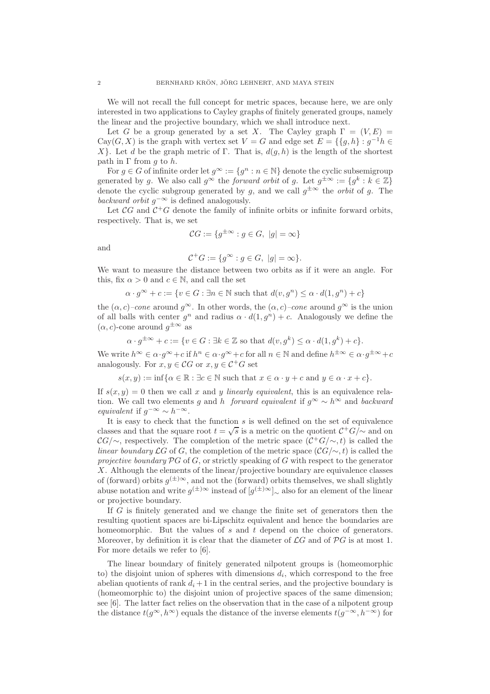We will not recall the full concept for metric spaces, because here, we are only interested in two applications to Cayley graphs of finitely generated groups, namely the linear and the projective boundary, which we shall introduce next.

Let G be a group generated by a set X. The Cayley graph  $\Gamma = (V, E)$ Cay(G, X) is the graph with vertex set  $V = G$  and edge set  $E = \{ \{g, h\} : g^{-1}h \in$ X}. Let d be the graph metric of Γ. That is,  $d(q, h)$  is the length of the shortest path in Γ from *q* to *h*.

For  $g \in G$  of infinite order let  $g^{\infty} := \{g^n : n \in \mathbb{N}\}\$  denote the cyclic subsemigroup generated by g. We also call  $g^{\infty}$  the *forward orbit* of g. Let  $g^{\pm \infty} := \{ g^k : k \in \mathbb{Z} \}$ denote the cyclic subgroup generated by g, and we call  $g^{\pm\infty}$  the *orbit* of g. The backward orbit  $g^{-\infty}$  is defined analogously.

Let  $\mathcal{C}G$  and  $\mathcal{C}^+G$  denote the family of infinite orbits or infinite forward orbits, respectively. That is, we set

$$
\mathcal{C}G := \{ g^{\pm \infty} : g \in G, \ |g| = \infty \}
$$

and

$$
\mathcal{C}^+G:=\{g^\infty: g\in G,\ |g|=\infty\}.
$$

We want to measure the distance between two orbits as if it were an angle. For this, fix  $\alpha > 0$  and  $c \in \mathbb{N}$ , and call the set

$$
\alpha \cdot g^{\infty} + c := \{ v \in G : \exists n \in \mathbb{N} \text{ such that } d(v, g^n) \leq \alpha \cdot d(1, g^n) + c \}
$$

the  $(\alpha, c)$ –cone around  $g^{\infty}$ . In other words, the  $(\alpha, c)$ –cone around  $g^{\infty}$  is the union of all balls with center  $g^n$  and radius  $\alpha \cdot d(1, g^n) + c$ . Analogously we define the  $(\alpha, c)$ -cone around  $g^{\pm \infty}$  as

$$
\alpha \cdot g^{\pm \infty} + c := \{ v \in G : \exists k \in \mathbb{Z} \text{ so that } d(v, g^k) \leq \alpha \cdot d(1, g^k) + c \}.
$$

We write  $h^{\infty} \in \alpha \cdot g^{\infty} + c$  if  $h^n \in \alpha \cdot g^{\infty} + c$  for all  $n \in \mathbb{N}$  and define  $h^{\pm \infty} \in \alpha \cdot g^{\pm \infty} + c$ analogously. For  $x, y \in \mathcal{C}G$  or  $x, y \in \mathcal{C}^+G$  set

 $s(x, y) := \inf \{ \alpha \in \mathbb{R} : \exists c \in \mathbb{N} \text{ such that } x \in \alpha \cdot y + c \text{ and } y \in \alpha \cdot x + c \}.$ 

If  $s(x, y) = 0$  then we call x and y linearly equivalent, this is an equivalence relation. We call two elements g and h forward equivalent if  $g^{\infty} \sim h^{\infty}$  and backward equivalent if  $g^{-\infty} \sim h^{-\infty}$ .

It is easy to check that the function  $s$  is well defined on the set of equivalence classes and that the square root  $t = \sqrt{s}$  is a metric on the quotient  $\mathcal{C}^+G/\sim$  and on  $\mathcal{C}G/\sim$ , respectively. The completion of the metric space  $(\mathcal{C}^+G/\sim,t)$  is called the linear boundary  $\mathcal{L}G$  of G, the completion of the metric space  $(\mathcal{C}G/\sim, t)$  is called the projective boundary  $\mathcal{P}G$  of G, or strictly speaking of G with respect to the generator X. Although the elements of the linear/projective boundary are equivalence classes of (forward) orbits  $g^{(\pm)\infty}$ , and not the (forward) orbits themselves, we shall slightly abuse notation and write  $g^{(\pm)\infty}$  instead of  $[g^{(\pm)\infty}]_{\sim}$  also for an element of the linear or projective boundary.

If G is finitely generated and we change the finite set of generators then the resulting quotient spaces are bi-Lipschitz equivalent and hence the boundaries are homeomorphic. But the values of s and t depend on the choice of generators. Moreover, by definition it is clear that the diameter of  $\mathcal{L}G$  and of  $\mathcal{P}G$  is at most 1. For more details we refer to [6].

The linear boundary of finitely generated nilpotent groups is (homeomorphic to) the disjoint union of spheres with dimensions  $d_i$ , which correspond to the free abelian quotients of rank  $d_i + 1$  in the central series, and the projective boundary is (homeomorphic to) the disjoint union of projective spaces of the same dimension; see [6]. The latter fact relies on the observation that in the case of a nilpotent group the distance  $t(g^{\infty}, h^{\infty})$  equals the distance of the inverse elements  $t(g^{-\infty}, h^{-\infty})$  for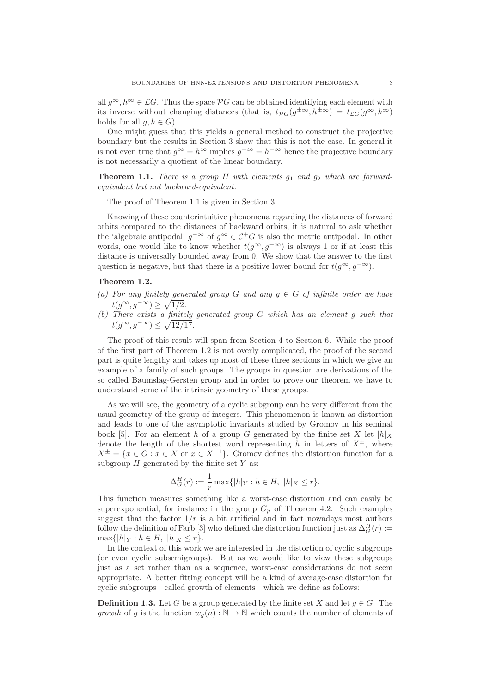all  $g^{\infty}, h^{\infty} \in \mathcal{L}G$ . Thus the space  $\mathcal{P}G$  can be obtained identifying each element with its inverse without changing distances (that is,  $t_{PG}(g^{\pm \infty}, h^{\pm \infty}) = t_{\mathcal{L}G}(g^{\infty}, h^{\infty})$ holds for all  $q, h \in G$ ).

One might guess that this yields a general method to construct the projective boundary but the results in Section 3 show that this is not the case. In general it is not even true that  $g^{\infty} = h^{\infty}$  implies  $g^{-\infty} = h^{-\infty}$  hence the projective boundary is not necessarily a quotient of the linear boundary.

**Theorem 1.1.** There is a group H with elements  $q_1$  and  $q_2$  which are forwardequivalent but not backward-equivalent.

The proof of Theorem 1.1 is given in Section 3.

Knowing of these counterintuitive phenomena regarding the distances of forward orbits compared to the distances of backward orbits, it is natural to ask whether the 'algebraic antipodal'  $g^{-\infty}$  of  $g^{\infty} \in C^+G$  is also the metric antipodal. In other words, one would like to know whether  $t(g^{\infty}, g^{-\infty})$  is always 1 or if at least this distance is universally bounded away from 0. We show that the answer to the first question is negative, but that there is a positive lower bound for  $t(g^{\infty}, g^{-\infty})$ .

### Theorem 1.2.

- (a) For any finitely generated group G and any  $g \in G$  of infinite order we have  $t(g^{\infty}, g^{-\infty}) \geq \sqrt{1/2}.$
- (b) There exists a finitely generated group G which has an element g such that  $t(g^{\infty}, g^{-\infty}) \leq \sqrt{12/17}.$

The proof of this result will span from Section 4 to Section 6. While the proof of the first part of Theorem 1.2 is not overly complicated, the proof of the second part is quite lengthy and takes up most of these three sections in which we give an example of a family of such groups. The groups in question are derivations of the so called Baumslag-Gersten group and in order to prove our theorem we have to understand some of the intrinsic geometry of these groups.

As we will see, the geometry of a cyclic subgroup can be very different from the usual geometry of the group of integers. This phenomenon is known as distortion and leads to one of the asymptotic invariants studied by Gromov in his seminal book [5]. For an element h of a group G generated by the finite set X let  $|h|_X$ denote the length of the shortest word representing h in letters of  $X^{\pm}$ , where  $X^{\pm} = \{x \in G : x \in X \text{ or } x \in X^{-1}\}.$  Gromov defines the distortion function for a subgroup  $H$  generated by the finite set  $Y$  as:

$$
\Delta_G^H(r) := \frac{1}{r} \max\{|h|_Y : h \in H, \ |h|_X \le r\}.
$$

This function measures something like a worst-case distortion and can easily be superexponential, for instance in the group  $G_p$  of Theorem 4.2. Such examples suggest that the factor  $1/r$  is a bit artificial and in fact nowadays most authors follow the definition of Farb [3] who defined the distortion function just as  $\Delta_G^H(r) :=$  $\max\{|h|_Y : h \in H, \|h\|_X \leq r\}.$ 

In the context of this work we are interested in the distortion of cyclic subgroups (or even cyclic subsemigroups). But as we would like to view these subgroups just as a set rather than as a sequence, worst-case considerations do not seem appropriate. A better fitting concept will be a kind of average-case distortion for cyclic subgroups—called growth of elements—which we define as follows:

**Definition 1.3.** Let G be a group generated by the finite set X and let  $g \in G$ . The growth of g is the function  $w_q(n): \mathbb{N} \to \mathbb{N}$  which counts the number of elements of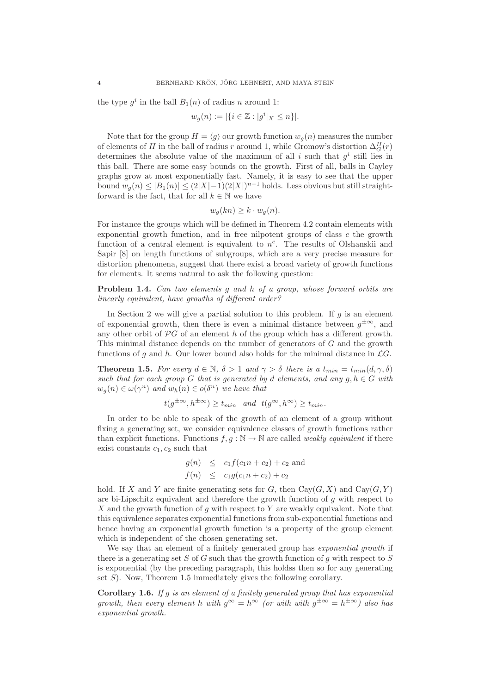the type  $g^i$  in the ball  $B_1(n)$  of radius n around 1:

$$
w_g(n) := |\{ i \in \mathbb{Z} : |g^i|_X \le n \}|.
$$

Note that for the group  $H = \langle g \rangle$  our growth function  $w_g(n)$  measures the number of elements of H in the ball of radius r around 1, while Gromow's distortion  $\Delta_G^H(r)$ determines the absolute value of the maximum of all i such that  $g^i$  still lies in this ball. There are some easy bounds on the growth. First of all, balls in Cayley graphs grow at most exponentially fast. Namely, it is easy to see that the upper bound  $w_g(n) \leq |B_1(n)| \leq (2|X|-1)(2|X|)^{n-1}$  holds. Less obvious but still straightforward is the fact, that for all  $k \in \mathbb{N}$  we have

$$
w_g(kn) \ge k \cdot w_g(n).
$$

For instance the groups which will be defined in Theorem 4.2 contain elements with exponential growth function, and in free nilpotent groups of class  $c$  the growth function of a central element is equivalent to  $n^c$ . The results of Olshanskii and Sapir [8] on length functions of subgroups, which are a very precise measure for distortion phenomena, suggest that there exist a broad variety of growth functions for elements. It seems natural to ask the following question:

Problem 1.4. Can two elements g and h of a group, whose forward orbits are linearly equivalent, have growths of different order?

In Section 2 we will give a partial solution to this problem. If  $q$  is an element of exponential growth, then there is even a minimal distance between  $g^{\pm \infty}$ , and any other orbit of  $\mathcal{P}G$  of an element h of the group which has a different growth. This minimal distance depends on the number of generators of G and the growth functions of g and h. Our lower bound also holds for the minimal distance in  $\mathcal{L}G$ .

**Theorem 1.5.** For every  $d \in \mathbb{N}$ ,  $\delta > 1$  and  $\gamma > \delta$  there is a  $t_{min} = t_{min}(d, \gamma, \delta)$ such that for each group G that is generated by d elements, and any  $g, h \in G$  with  $w_g(n) \in \omega(\gamma^n)$  and  $w_h(n) \in o(\delta^n)$  we have that

 $t(g^{\pm \infty}, h^{\pm \infty}) \ge t_{min}$  and  $t(g^{\infty}, h^{\infty}) \ge t_{min}$ .

In order to be able to speak of the growth of an element of a group without fixing a generating set, we consider equivalence classes of growth functions rather than explicit functions. Functions  $f, g : \mathbb{N} \to \mathbb{N}$  are called *weakly equivalent* if there exist constants  $c_1, c_2$  such that

$$
g(n) \leq c_1 f(c_1 n + c_2) + c_2
$$
 and  
\n $f(n) \leq c_1 g(c_1 n + c_2) + c_2$ 

hold. If X and Y are finite generating sets for G, then  $Cay(G, X)$  and  $Cay(G, Y)$ are bi-Lipschitz equivalent and therefore the growth function of  $g$  with respect to  $X$  and the growth function of  $g$  with respect to  $Y$  are weakly equivalent. Note that this equivalence separates exponential functions from sub-exponential functions and hence having an exponential growth function is a property of the group element which is independent of the chosen generating set.

We say that an element of a finitely generated group has *exponential growth* if there is a generating set S of G such that the growth function of q with respect to S is exponential (by the preceding paragraph, this holdss then so for any generating set  $S$ ). Now, Theorem 1.5 immediately gives the following corollary.

Corollary 1.6. If g is an element of a finitely generated group that has exponential growth, then every element h with  $g^{\infty} = h^{\infty}$  (or with with  $g^{\pm \infty} = h^{\pm \infty}$ ) also has exponential growth.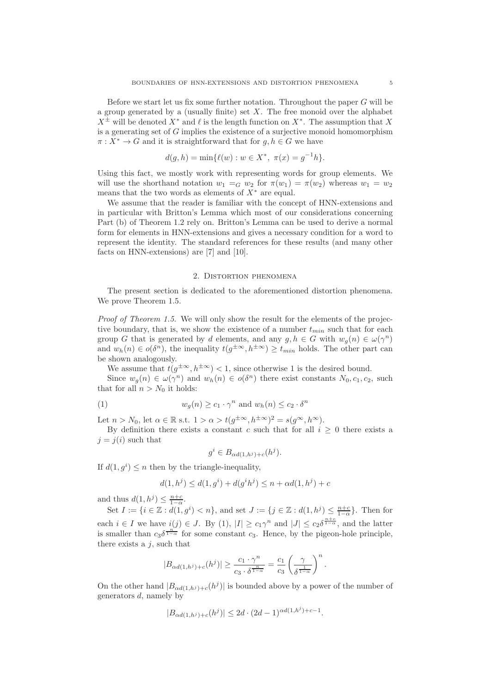Before we start let us fix some further notation. Throughout the paper  $G$  will be a group generated by a (usually finite) set  $X$ . The free monoid over the alphabet  $X^{\pm}$  will be denoted  $X^*$  and  $\ell$  is the length function on  $X^*$ . The assumption that X is a generating set of  $G$  implies the existence of a surjective monoid homomorphism  $\pi: X^* \to G$  and it is straightforward that for  $g, h \in G$  we have

$$
d(g, h) = \min\{\ell(w) : w \in X^*, \ \pi(x) = g^{-1}h\}.
$$

Using this fact, we mostly work with representing words for group elements. We will use the shorthand notation  $w_1 =_G w_2$  for  $\pi(w_1) = \pi(w_2)$  whereas  $w_1 = w_2$ means that the two words as elements of  $X^*$  are equal.

We assume that the reader is familiar with the concept of HNN-extensions and in particular with Britton's Lemma which most of our considerations concerning Part (b) of Theorem 1.2 rely on. Britton's Lemma can be used to derive a normal form for elements in HNN-extensions and gives a necessary condition for a word to represent the identity. The standard references for these results (and many other facts on HNN-extensions) are [7] and [10].

#### 2. Distortion phenomena

The present section is dedicated to the aforementioned distortion phenomena. We prove Theorem 1.5.

Proof of Theorem 1.5. We will only show the result for the elements of the projective boundary, that is, we show the existence of a number  $t_{min}$  such that for each group G that is generated by d elements, and any  $g, h \in G$  with  $w_g(n) \in \omega(\gamma^n)$ and  $w_h(n) \in o(\delta^n)$ , the inequality  $t(g^{\pm \infty}, h^{\pm \infty}) \ge t_{min}$  holds. The other part can be shown analogously.

We assume that  $t(g^{\pm \infty}, h^{\pm \infty}) < 1$ , since otherwise 1 is the desired bound.

Since  $w_g(n) \in \omega(\gamma^n)$  and  $w_h(n) \in o(\delta^n)$  there exist constants  $N_0, c_1, c_2$ , such that for all  $n > N_0$  it holds:

(1) 
$$
w_g(n) \ge c_1 \cdot \gamma^n \text{ and } w_h(n) \le c_2 \cdot \delta^n
$$

Let  $n > N_0$ , let  $\alpha \in \mathbb{R}$  s.t.  $1 > \alpha > t(g^{\pm \infty}, h^{\pm \infty})^2 = s(g^{\infty}, h^{\infty})$ .

By definition there exists a constant c such that for all  $i > 0$  there exists a  $j = j(i)$  such that

$$
g^i \in B_{\alpha d(1,h^j)+c}(h^j).
$$

If  $d(1, g^i) \leq n$  then by the triangle-inequality,

$$
d(1, h^{j}) \le d(1, g^{i}) + d(g^{i}h^{j}) \le n + \alpha d(1, h^{j}) + c
$$

and thus  $d(1, h^j) \leq \frac{n+c}{1-\alpha}$ .

Set  $I := \{i \in \mathbb{Z} : d(1, g^i) < n\}$ , and set  $J := \{j \in \mathbb{Z} : d(1, h^j) \le \frac{n+c}{1-\alpha}\}$ . Then for each  $i \in I$  we have  $i(j) \in J$ . By  $(1)$ ,  $|I| \geq c_1 \gamma^n$  and  $|J| \leq c_2 \delta^{\frac{n+c}{1-\alpha}}$ , and the latter is smaller than  $c_3\delta^{\frac{n^{\infty}}{1-\alpha}}$  for some constant  $c_3$ . Hence, by the pigeon-hole principle, there exists a  $j$ , such that

$$
|B_{\alpha d(1,h^j)+c}(h^j)| \geq \frac{c_1 \cdot \gamma^n}{c_3 \cdot \delta^{\frac{n}{1-\alpha}}} = \frac{c_1}{c_3} \left(\frac{\gamma}{\delta^{\frac{1}{1-\alpha}}}\right)^n.
$$

On the other hand  $|B_{\alpha d(1,h^j)+c}(h^j)|$  is bounded above by a power of the number of generators d, namely by

$$
|B_{\alpha d(1,h^j)+c}(h^j)| \le 2d \cdot (2d-1)^{\alpha d(1,h^j)+c-1}.
$$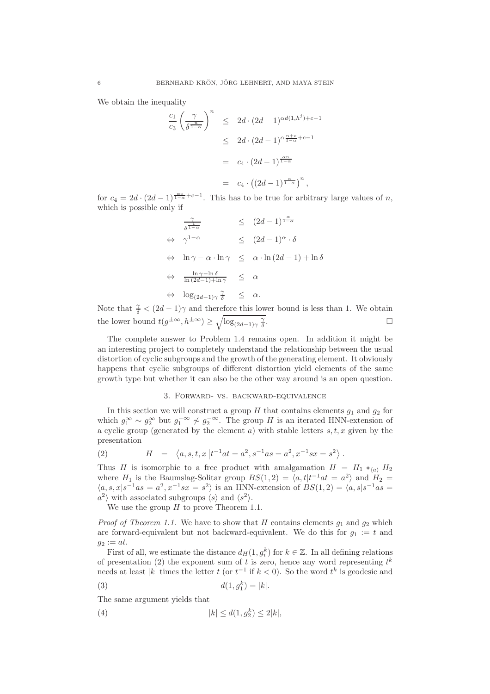We obtain the inequality

$$
\frac{c_1}{c_3} \left(\frac{\gamma}{\delta^{\frac{n}{1-\alpha}}}\right)^n \leq 2d \cdot (2d-1)^{\alpha d(1,h^j)+c-1}
$$
  

$$
\leq 2d \cdot (2d-1)^{\alpha \frac{n+c}{1-\alpha}+c-1}
$$
  

$$
= c_4 \cdot (2d-1)^{\frac{\alpha n}{1-\alpha}}
$$
  

$$
= c_4 \cdot ((2d-1)^{\frac{\alpha}{1-\alpha}})^n,
$$

for  $c_4 = 2d \cdot (2d-1)^{\frac{\alpha c}{1-\alpha}+c-1}$ . This has to be true for arbitrary large values of n, which is possible only if

$$
\frac{\gamma}{\delta^{\frac{1}{1-\alpha}}} \leq (2d-1)^{\frac{\alpha}{1-\alpha}}
$$
\n
$$
\Leftrightarrow \gamma^{1-\alpha} \leq (2d-1)^{\alpha} \cdot \delta
$$
\n
$$
\Leftrightarrow \ln \gamma - \alpha \cdot \ln \gamma \leq \alpha \cdot \ln (2d-1) + \ln \delta
$$
\n
$$
\Leftrightarrow \frac{\ln \gamma - \ln \delta}{\ln (2d-1) + \ln \gamma} \leq \alpha
$$
\n
$$
\Leftrightarrow \log_{(2d-1)\gamma} \frac{\gamma}{\delta} \leq \alpha.
$$

Note that  $\frac{\gamma}{\delta} < (2d-1)\gamma$  and therefore this lower bound is less than 1. We obtain the lower bound  $t(g^{\pm \infty}, h^{\pm \infty}) \geq \sqrt{\log_{(2d-1)\gamma} \frac{\gamma}{\delta}}$ . В последните последните и производство на применение и производство на применение и производство на применен<br>В последните последните последните последните последните последните последните последните последните последнит

The complete answer to Problem 1.4 remains open. In addition it might be an interesting project to completely understand the relationship between the usual distortion of cyclic subgroups and the growth of the generating element. It obviously happens that cyclic subgroups of different distortion yield elements of the same growth type but whether it can also be the other way around is an open question.

# 3. Forward- vs. backward-equivalence

In this section we will construct a group H that contains elements  $g_1$  and  $g_2$  for which  $g_1^{\infty} \sim g_2^{\infty}$  but  $g_1^{-\infty} \not\sim g_2^{-\infty}$ . The group H is an iterated HNN-extension of a cyclic group (generated by the element  $a$ ) with stable letters  $s, t, x$  given by the presentation

(2) 
$$
H = \langle a, s, t, x | t^{-1}at = a^2, s^{-1}as = a^2, x^{-1}sx = s^2 \rangle.
$$

Thus H is isomorphic to a free product with amalgamation  $H = H_1 *_{(a)} H_2$ where  $H_1$  is the Baumslag-Solitar group  $BS(1, 2) = \langle a, t | t^{-1}at = a^2 \rangle$  and  $H_2 =$  $\langle a, s, x | s^{-1} a s = a^2, x^{-1} s x = s^2 \rangle$  is an HNN-extension of  $BS(1, 2) = \langle a, s | s^{-1} a s = a \rangle$  $a^2$  with associated subgroups  $\langle s \rangle$  and  $\langle s^2 \rangle$ .

We use the group  $H$  to prove Theorem 1.1.

*Proof of Theorem 1.1.* We have to show that H contains elements  $q_1$  and  $q_2$  which are forward-equivalent but not backward-equivalent. We do this for  $g_1 := t$  and  $g_2 := at.$ 

First of all, we estimate the distance  $d_H(1, g_i^k)$  for  $k \in \mathbb{Z}$ . In all defining relations of presentation (2) the exponent sum of t is zero, hence any word representing  $t^k$ needs at least |k| times the letter  $t$  (or  $t^{-1}$  if  $k < 0$ ). So the word  $t^k$  is geodesic and

(3) 
$$
d(1, g_1^k) = |k|.
$$

The same argument yields that

(4) 
$$
|k| \le d(1, g_2^k) \le 2|k|,
$$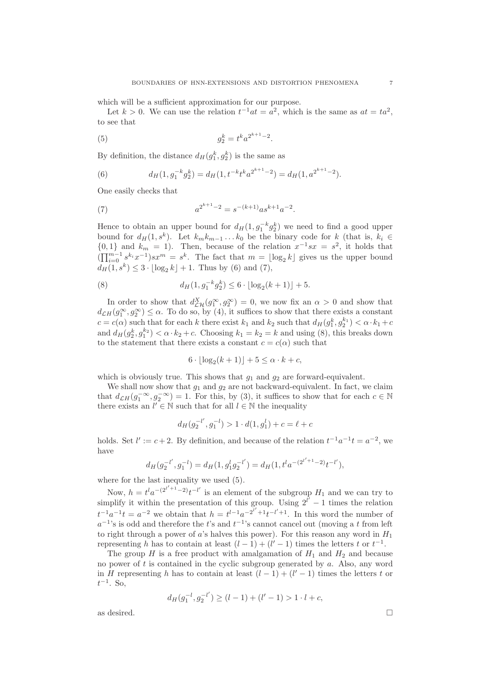which will be a sufficient approximation for our purpose.

Let  $k > 0$ . We can use the relation  $t^{-1}at = a^2$ , which is the same as  $at = ta^2$ , to see that

(5) 
$$
g_2^k = t^k a^{2^{k+1}-2}.
$$

By definition, the distance  $d_H(g_1^k, g_2^k)$  is the same as

(6) 
$$
d_H(1, g_1^{-k}g_2^k) = d_H(1, t^{-k}t^k a^{2^{k+1}-2}) = d_H(1, a^{2^{k+1}-2}).
$$

One easily checks that

(7) 
$$
a^{2^{k+1}-2} = s^{-(k+1)} a s^{k+1} a^{-2}.
$$

Hence to obtain an upper bound for  $d_H(1, g_1^{-k}g_2^k)$  we need to find a good upper bound for  $d_H(1, s^k)$ . Let  $k_m k_{m-1} \dots k_0$  be the binary code for k (that is,  $k_i \in$  $\{0,1\}$  and  $k_m = 1$ ). Then, because of the relation  $x^{-1}sx = s^2$ , it holds that  $(\prod_{i=0}^{m-1} s^{k_i} x^{-1}) s x^m = s^k$ . The fact that  $m = \lfloor \log_2 k \rfloor$  gives us the upper bound  $d_H(1, s^k) \leq 3 \cdot \lfloor \log_2 k \rfloor + 1$ . Thus by (6) and (7),

(8) 
$$
d_H(1, g_1^{-k}g_2^k) \le 6 \cdot \lfloor \log_2(k+1) \rfloor + 5.
$$

In order to show that  $d_{\mathcal{L}\mathcal{H}}^X(g_1^{\infty}, g_2^{\infty}) = 0$ , we now fix an  $\alpha > 0$  and show that  $d_{\mathcal{L}H}(g_1^{\infty}, g_2^{\infty}) \leq \alpha$ . To do so, by (4), it suffices to show that there exists a constant  $c = c(\alpha)$  such that for each k there exist  $k_1$  and  $k_2$  such that  $d_H(g_1^k, g_2^{k_1}) < \alpha \cdot k_1 + c$ and  $d_H(g_2^k, g_1^{k_2}) < \alpha \cdot k_2 + c$ . Choosing  $k_1 = k_2 = k$  and using (8), this breaks down to the statement that there exists a constant  $c = c(\alpha)$  such that

$$
6 \cdot \lfloor \log_2(k+1) \rfloor + 5 \le \alpha \cdot k + c,
$$

which is obviously true. This shows that  $g_1$  and  $g_2$  are forward-equivalent.

We shall now show that  $g_1$  and  $g_2$  are not backward-equivalent. In fact, we claim that  $d_{\mathcal{L}H}(g_1^{-\infty}, g_2^{-\infty}) = 1$ . For this, by (3), it suffices to show that for each  $c \in \mathbb{N}$ there exists an  $l' \in \mathbb{N}$  such that for all  $l \in \mathbb{N}$  the inequality

$$
d_H(g_2^{-l'}, g_1^{-l}) > 1 \cdot d(1, g_1^l) + c = \ell + c
$$

holds. Set  $l' := c + 2$ . By definition, and because of the relation  $t^{-1}a^{-1}t = a^{-2}$ , we have

$$
d_H(g_2^{-l'}, g_1^{-l}) = d_H(1, g_1^l g_2^{-l'}) = d_H(1, t^l a^{-(2^{l'+1}-2)} t^{-l'}),
$$

where for the last inequality we used (5).

Now,  $h = t^l a^{-(2^{l'+1}-2)} t^{-l'}$  is an element of the subgroup  $H_1$  and we can try to simplify it within the presentation of this group. Using  $2^{l'}-1$  times the relation  $t^{-1}a^{-1}t = a^{-2}$  we obtain that  $h = t^{l-1}a^{-2^{l'}+1}t^{-l'+1}$ . In this word the number of  $a^{-1}$ 's is odd and therefore the t's and  $t^{-1}$ 's cannot cancel out (moving a t from left to right through a power of a's halves this power). For this reason any word in  $H_1$ representing h has to contain at least  $(l-1) + (l'-1)$  times the letters t or  $t^{-1}$ .

The group H is a free product with amalgamation of  $H_1$  and  $H_2$  and because no power of t is contained in the cyclic subgroup generated by  $a$ . Also, any word in H representing h has to contain at least  $(l-1) + (l'-1)$  times the letters t or  $t^{-1}$ . So,

$$
d_H(g_1^{-l},g_2^{-l'})\geq (l-1)+(l'-1)>1\cdot l+c,
$$

as desired.  $\Box$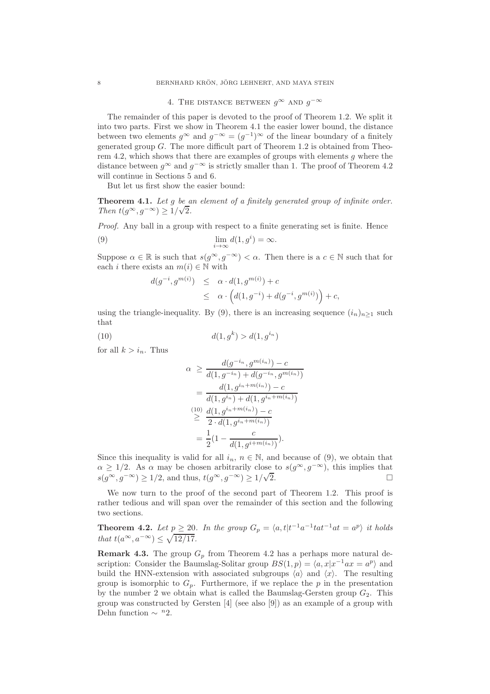# 4. THE DISTANCE BETWEEN  $g^{\infty}$  and  $g^{-\infty}$

The remainder of this paper is devoted to the proof of Theorem 1.2. We split it into two parts. First we show in Theorem 4.1 the easier lower bound, the distance between two elements  $g^{\infty}$  and  $g^{-\infty} = (g^{-1})^{\infty}$  of the linear boundary of a finitely generated group  $G$ . The more difficult part of Theorem 1.2 is obtained from Theorem 4.2, which shows that there are examples of groups with elements  $g$  where the distance between  $g^{\infty}$  and  $g^{-\infty}$  is strictly smaller than 1. The proof of Theorem 4.2 will continue in Sections 5 and 6.

But let us first show the easier bound:

Theorem 4.1. Let g be an element of a finitely generated group of infinite order. Then  $t(g^{\infty}, g^{-\infty}) \geq 1/\sqrt{2}$ .

Proof. Any ball in a group with respect to a finite generating set is finite. Hence

(9) 
$$
\lim_{i \to \infty} d(1, g^i) = \infty.
$$

Suppose  $\alpha \in \mathbb{R}$  is such that  $s(g^{\infty}, g^{-\infty}) < \alpha$ . Then there is a  $c \in \mathbb{N}$  such that for each *i* there exists an  $m(i) \in \mathbb{N}$  with

$$
d(g^{-i}, g^{m(i)}) \leq \alpha \cdot d(1, g^{m(i)}) + c
$$
  
 
$$
\leq \alpha \cdot \left( d(1, g^{-i}) + d(g^{-i}, g^{m(i)}) \right) + c,
$$

using the triangle-inequality. By (9), there is an increasing sequence  $(i_n)_{n\geq 1}$  such that

(10) 
$$
d(1, g^k) > d(1, g^{i_n})
$$

for all  $k > i_n$ . Thus

$$
\alpha \ge \frac{d(g^{-i_n}, g^{m(i_n)}) - c}{d(1, g^{-i_n}) + d(g^{-i_n}, g^{m(i_n)})}
$$

$$
= \frac{d(1, g^{i_n+m(i_n)}) - c}{d(1, g^{i_n}) + d(1, g^{i_n+m(i_n)})}
$$

$$
\ge \frac{d(1, g^{i_n+m(i_n)}) - c}{2 \cdot d(1, g^{i_n+m(i_n)})}
$$

$$
= \frac{1}{2}(1 - \frac{c}{d(1, g^{i+m(i_n)})}).
$$

Since this inequality is valid for all  $i_n$ ,  $n \in \mathbb{N}$ , and because of (9), we obtain that  $\alpha \geq 1/2$ . As  $\alpha$  may be chosen arbitrarily close to  $s(g^{\infty}, g^{-\infty})$ , this implies that  $s(g^{\infty}, g^{-\infty}) > 1/2$  and thus,  $t(g^{\infty}, g^{-\infty}) > 1/\sqrt{2}$ .  $s(g^{\infty}, g^{-\infty}) \ge 1/2$ , and thus,  $t(g^{\infty}, g^{-\infty}) \ge 1/\sqrt{2}$  $\overline{2}$ .

We now turn to the proof of the second part of Theorem 1.2. This proof is rather tedious and will span over the remainder of this section and the following two sections.

**Theorem 4.2.** Let  $p \geq 20$ . In the group  $G_p = \langle a, t | t^{-1} a^{-1} t a t^{-1} a t = a^p \rangle$  it holds that  $t(a^{\infty}, a^{-\infty}) \leq \sqrt{12/17}$ .

**Remark 4.3.** The group  $G_p$  from Theorem 4.2 has a perhaps more natural description: Consider the Baumslag-Solitar group  $BS(1, p) = \langle a, x | x^{-1} a x = a^p \rangle$  and build the HNN-extension with associated subgroups  $\langle a \rangle$  and  $\langle x \rangle$ . The resulting group is isomorphic to  $G_p$ . Furthermore, if we replace the p in the presentation by the number 2 we obtain what is called the Baumslag-Gersten group  $G_2$ . This group was constructed by Gersten [4] (see also [9]) as an example of a group with Dehn function  $\sim$  <sup>n</sup>2.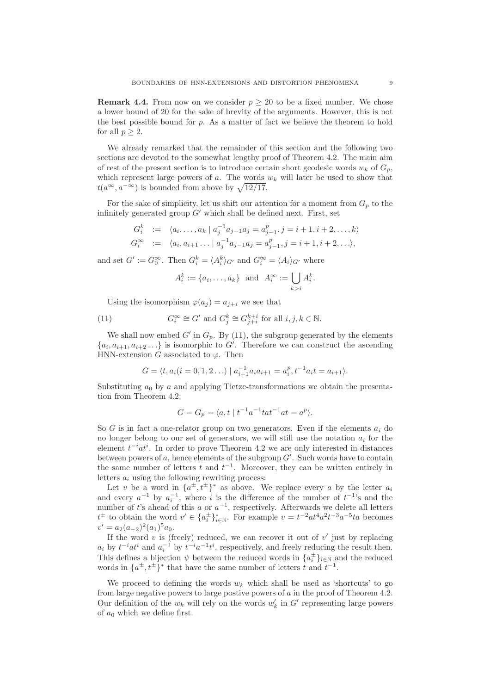**Remark 4.4.** From now on we consider  $p \geq 20$  to be a fixed number. We chose a lower bound of 20 for the sake of brevity of the arguments. However, this is not the best possible bound for p. As a matter of fact we believe the theorem to hold for all  $p > 2$ .

We already remarked that the remainder of this section and the following two sections are devoted to the somewhat lengthy proof of Theorem 4.2. The main aim of rest of the present section is to introduce certain short geodesic words  $w_k$  of  $G_p$ , which represent large powers of a. The words  $w_k$  will later be used to show that  $t(a^{\infty}, a^{-\infty})$  is bounded from above by  $\sqrt{12/17}$ .

For the sake of simplicity, let us shift our attention for a moment from  $G_p$  to the infinitely generated group  $G'$  which shall be defined next. First, set

$$
G_i^k := \langle a_i, \dots, a_k \mid a_j^{-1} a_{j-1} a_j = a_{j-1}^p, j = i+1, i+2, \dots, k \rangle
$$
  
\n
$$
G_i^{\infty} := \langle a_i, a_{i+1} \dots \mid a_j^{-1} a_{j-1} a_j = a_{j-1}^p, j = i+1, i+2, \dots \rangle,
$$

and set  $G' := G_0^{\infty}$ . Then  $G_i^k = \langle A_i^k \rangle_{G'}$  and  $G_i^{\infty} = \langle A_i \rangle_{G'}$  where

$$
A_i^k := \{a_i, \dots, a_k\} \text{ and } A_i^{\infty} := \bigcup_{k > i} A_i^k.
$$

Using the isomorphism  $\varphi(a_i) = a_{i+i}$  we see that

(11) 
$$
G_i^{\infty} \cong G' \text{ and } G_j^k \cong G_{j+i}^{k+i} \text{ for all } i, j, k \in \mathbb{N}.
$$

We shall now embed  $G'$  in  $G_p$ . By (11), the subgroup generated by the elements  ${a_i, a_{i+1}, a_{i+2} \ldots}$  is isomorphic to  $G'$ . Therefore we can construct the ascending HNN-extension G associated to  $\varphi$ . Then

$$
G = \langle t, a_i (i = 0, 1, 2 \ldots) \mid a_{i+1}^{-1} a_i a_{i+1} = a_i^p, t^{-1} a_i t = a_{i+1} \rangle.
$$

Substituting  $a_0$  by a and applying Tietze-transformations we obtain the presentation from Theorem 4.2:

$$
G = G_p = \langle a, t \mid t^{-1}a^{-1}tat^{-1}at = a^p \rangle.
$$

So G is in fact a one-relator group on two generators. Even if the elements  $a_i$  do no longer belong to our set of generators, we will still use the notation  $a_i$  for the element  $t^{-i}at^i$ . In order to prove Theorem 4.2 we are only interested in distances between powers of  $a$ , hence elements of the subgroup  $G'$ . Such words have to contain the same number of letters t and  $t^{-1}$ . Moreover, they can be written entirely in letters  $a_i$  using the following rewriting process:

Let v be a word in  $\{a^{\pm}, t^{\pm}\}^*$  as above. We replace every a by the letter  $a_i$ and every  $a^{-1}$  by  $a_i^{-1}$ , where i is the difference of the number of  $t^{-1}$ 's and the number of t's ahead of this a or  $a^{-1}$ , respectively. Afterwards we delete all letters  $t^{\pm}$  to obtain the word  $v' \in \{a_i^{\pm}\}_{i\in\mathbb{N}}^*$ . For example  $v = t^{-2}at^4a^2t^{-3}a^{-5}ta$  becomes  $v' = a_2(a_{-2})^2(a_1)^5 a_0.$ 

If the word  $v$  is (freely) reduced, we can recover it out of  $v'$  just by replacing  $a_i$  by  $t^{-i}at^i$  and  $a_i^{-1}$  by  $t^{-i}a^{-1}t^i$ , respectively, and freely reducing the result then. This defines a bijection  $\psi$  between the reduced words in  $\{a_i^{\pm}\}_{i\in\mathbb{N}}$  and the reduced words in  $\{a^{\pm}, t^{\pm}\}^*$  that have the same number of letters t and  $t^{-1}$ .

We proceed to defining the words  $w_k$  which shall be used as 'shortcuts' to go from large negative powers to large postive powers of  $a$  in the proof of Theorem 4.2. Our definition of the  $w_k$  will rely on the words  $w'_k$  in  $G'$  representing large powers of  $a_0$  which we define first.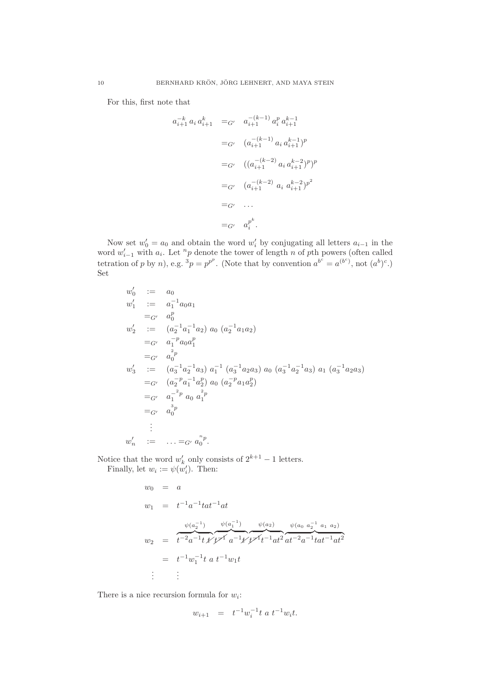For this, first note that

$$
a_{i+1}^{-k} a_i a_{i+1}^k =_{G'} a_{i+1}^{-(k-1)} a_i^p a_{i+1}^{k-1}
$$
  
\n
$$
=_{G'} (a_{i+1}^{-(k-1)} a_i a_{i+1}^{k-1})^p
$$
  
\n
$$
=_{G'} ((a_{i+1}^{-(k-2)} a_i a_{i+1}^{k-2})^p)^p
$$
  
\n
$$
=_{G'} (a_{i+1}^{-(k-2)} a_i a_{i+1}^{k-2})^{p^2}
$$
  
\n
$$
=_{G'} a_i^{p^k}.
$$

Now set  $w'_0 = a_0$  and obtain the word  $w'_i$  by conjugating all letters  $a_{i-1}$  in the word  $w'_{i-1}$  with  $a_i$ . Let <sup>n</sup>p denote the tower of length n of pth powers (often called tetration of p by n), e.g.  ${}^3p = p^{p^p}$ . (Note that by convention  $a^{b^c} = a^{(b^c)}$ , not  $(a^b)^c$ .) Set

$$
w'_0 := a_0
$$
  
\n
$$
w'_1 := a_1^{-1}a_0a_1
$$
  
\n
$$
= G' a_0^p
$$
  
\n
$$
w'_2 := (a_2^{-1}a_1^{-1}a_2) a_0 (a_2^{-1}a_1a_2)
$$
  
\n
$$
= G' a_1^{-p}a_0a_1^p
$$
  
\n
$$
= G' a_0^{-p}
$$
  
\n
$$
w'_3 := (a_3^{-1}a_2^{-1}a_3) a_1^{-1} (a_3^{-1}a_2a_3) a_0 (a_3^{-1}a_2^{-1}a_3) a_1 (a_3^{-1}a_2a_3)
$$
  
\n
$$
= G' (a_2^{-p}a_1^{-1}a_2^p) a_0 (a_2^{-p}a_1a_2^p)
$$
  
\n
$$
= G' a_1^{-p} a_0 a_1^{2p}
$$
  
\n
$$
= G' a_0^{-3p}
$$
  
\n
$$
\vdots
$$
  
\n
$$
w'_n := ... = G' a_0^{-p}.
$$

Notice that the word  $w'_k$  only consists of  $2^{k+1} - 1$  letters.

Finally, let  $w_i := \psi(w'_i)$ . Then:

$$
w_0 = a
$$
  
\n
$$
w_1 = t^{-1}a^{-1}tat^{-1}at
$$
  
\n
$$
w_2 = t^{-2}a^{-1}t \sqrt{t^{-1}} \sqrt{t^{-1}t^{-1}t^{-1}} \sqrt{t^{-1}t^{-1}} \sqrt{t^{-2}t^{-1}} \sqrt{t^{-2}t^{-1}} \sqrt{t^{-1}t^{-1}} \sqrt{t^{-1}t^{-1}}
$$
  
\n
$$
= t^{-1}w_1^{-1}t \sqrt{t^{-1}w_1t}
$$
  
\n
$$
\vdots \qquad \vdots
$$

There is a nice recursion formula for  $w_i$ :

$$
w_{i+1} = t^{-1} w_i^{-1} t \ a \ t^{-1} w_i t.
$$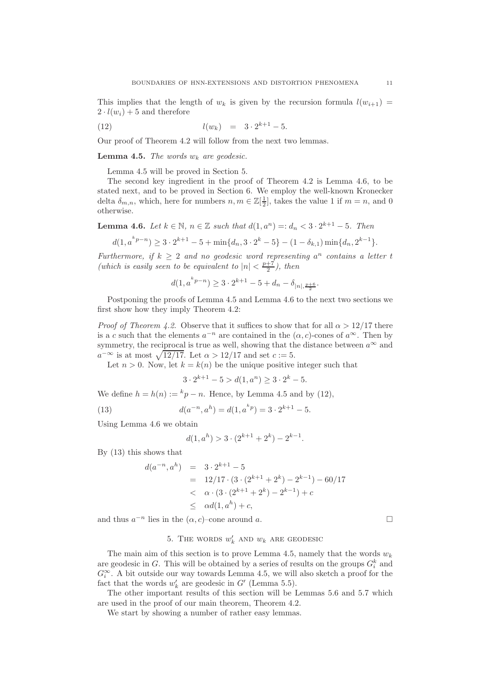This implies that the length of  $w_k$  is given by the recursion formula  $l(w_{i+1}) =$  $2 \cdot l(w_i) + 5$  and therefore

(12) 
$$
l(w_k) = 3 \cdot 2^{k+1} - 5.
$$

Our proof of Theorem 4.2 will follow from the next two lemmas.

**Lemma 4.5.** The words  $w_k$  are geodesic.

Lemma 4.5 will be proved in Section 5.

The second key ingredient in the proof of Theorem 4.2 is Lemma 4.6, to be stated next, and to be proved in Section 6. We employ the well-known Kronecker delta  $\delta_{m,n}$ , which, here for numbers  $n, m \in \mathbb{Z}[\frac{1}{2}]$ , takes the value 1 if  $m = n$ , and 0 otherwise.

**Lemma 4.6.** Let  $k \in \mathbb{N}$ ,  $n \in \mathbb{Z}$  such that  $d(1, a^n) =: d_n < 3 \cdot 2^{k+1} - 5$ . Then

$$
d(1, a^{k}p^{-n}) \ge 3 \cdot 2^{k+1} - 5 + \min\{d_n, 3 \cdot 2^k - 5\} - (1 - \delta_{k,1})\min\{d_n, 2^{k-1}\}.
$$

Furthermore, if  $k \geq 2$  and no geodesic word representing  $a^n$  contains a letter t (which is easily seen to be equivalent to  $|n| < \frac{p+7}{2}$ ), then

$$
d(1, a^{k p - n}) \ge 3 \cdot 2^{k+1} - 5 + d_n - \delta_{|n|, \frac{p+6}{2}}.
$$

Postponing the proofs of Lemma 4.5 and Lemma 4.6 to the next two sections we first show how they imply Theorem 4.2:

*Proof of Theorem 4.2.* Observe that it suffices to show that for all  $\alpha > 12/17$  there is a c such that the elements  $a^{-n}$  are contained in the  $(\alpha, c)$ -cones of  $a^{\infty}$ . Then by symmetry, the reciprocal is true as well, showing that the distance between  $a^{\infty}$  and  $a^{-\infty}$  is at most  $\sqrt{12/17}$ . Let  $\alpha > 12/17$  and set  $c := 5$ .

Let  $n > 0$ . Now, let  $k = k(n)$  be the unique positive integer such that

$$
3 \cdot 2^{k+1} - 5 > d(1, a^n) \ge 3 \cdot 2^k - 5.
$$

We define  $h = h(n) := {}^{k}p - n$ . Hence, by Lemma 4.5 and by (12),

(13) 
$$
d(a^{-n}, a^h) = d(1, a^{kp}) = 3 \cdot 2^{k+1} - 5.
$$

Using Lemma 4.6 we obtain

$$
d(1, a^h) > 3 \cdot (2^{k+1} + 2^k) - 2^{k-1}.
$$

By (13) this shows that

$$
d(a^{-n}, a^h) = 3 \cdot 2^{k+1} - 5
$$
  
= 12/17 \cdot (3 \cdot (2^{k+1} + 2^k) - 2^{k-1}) - 60/17  
<  $\alpha \cdot (3 \cdot (2^{k+1} + 2^k) - 2^{k-1}) + c$   
<  $\leq \alpha d(1, a^h) + c$ ,

and thus  $a^{-n}$  lies in the  $(\alpha, c)$ –cone around a.

# 5. The words  $w'_k$  and  $w_k$  are geodesic

The main aim of this section is to prove Lemma 4.5, namely that the words  $w_k$ are geodesic in G. This will be obtained by a series of results on the groups  $G_i^k$  and  $G_i^{\infty}$ . A bit outside our way towards Lemma 4.5, we will also sketch a proof for the fact that the words  $w'_k$  are geodesic in  $G'$  (Lemma 5.5).

The other important results of this section will be Lemmas 5.6 and 5.7 which are used in the proof of our main theorem, Theorem 4.2.

We start by showing a number of rather easy lemmas.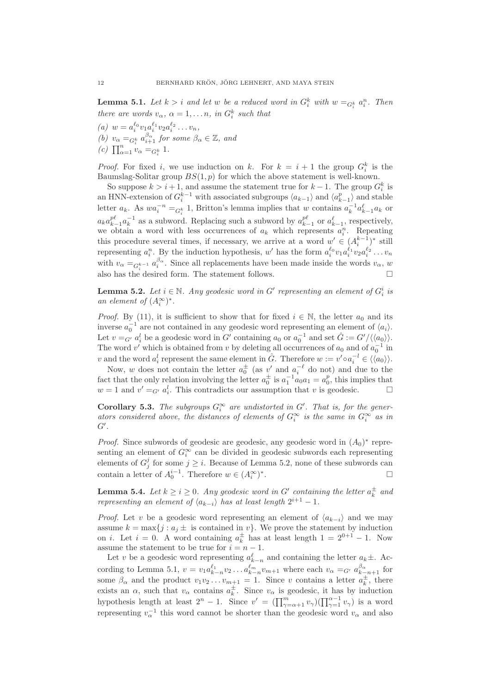**Lemma 5.1.** Let  $k > i$  and let w be a reduced word in  $G_i^k$  with  $w =_{G_i^k} a_i^n$ . Then there are words  $v_{\alpha}$ ,  $\alpha = 1, \ldots n$ , in  $G_i^k$  such that

(a)  $w = a_i^{\ell_0} v_1 a_i^{\ell_1} v_2 a_i^{\ell_2} \dots v_n$ , (b)  $v_{\alpha} =_{G_i^k} a_{i+1}^{\beta_{\alpha}}$  for some  $\beta_{\alpha} \in \mathbb{Z}$ , and (c)  $\prod_{\alpha=1}^{n} v_{\alpha} =_{G_i^k} 1$ .

*Proof.* For fixed i, we use induction on k. For  $k = i + 1$  the group  $G_i^k$  is the Baumslag-Solitar group  $BS(1, p)$  for which the above statement is well-known.

So suppose  $k > i + 1$ , and assume the statement true for  $k - 1$ . The group  $G_i^k$  is an HNN-extension of  $G_i^{k-1}$  with associated subgroups  $\langle a_{k-1} \rangle$  and  $\langle a_{k-1}^p \rangle$  and stable letter  $a_k$ . As  $wa_i^{-n} =_{G_k^k} 1$ , Britton's lemma implies that w contains  $a_k^{-1} a_{k-1}^{\ell} a_k$  or  $a_k a_{k-1}^{p\ell} a_k^{-1}$  as a subword. Replacing such a subword by  $a_{k-1}^{p\ell}$  or  $a_{k-1}^{\ell}$ , respectively, we obtain a word with less occurrences of  $a_k$  which represents  $a_i^n$ . Repeating this procedure several times, if necessary, we arrive at a word  $w' \in (A_i^{k-1})^*$  still representing  $a_i^n$ . By the induction hypothesis, w' has the form  $a_i^{\ell_0}v_1a_i^{\ell_1}v_2a_i^{\ell_2}\ldots v_n$ with  $v_{\alpha} =_{G_i^{k-1}} a_i^{\beta_{\alpha}}$ . Since all replacements have been made inside the words  $v_{\alpha}$ , w also has the desired form. The statement follows.  $\square$ 

**Lemma 5.2.** Let  $i \in \mathbb{N}$ . Any geodesic word in G' representing an element of  $G_i^i$  is an element of  $(A_i^{\infty})^*$ .

*Proof.* By (11), it is sufficient to show that for fixed  $i \in \mathbb{N}$ , the letter  $a_0$  and its inverse  $a_0^{-1}$  are not contained in any geodesic word representing an element of  $\langle a_i \rangle$ . Let  $v = G'$   $a_i^l$  be a geodesic word in G' containing  $a_0$  or  $a_0^{-1}$  and set  $\hat{G} := G'/\langle\langle a_0 \rangle\rangle$ . The word v' which is obtained from v by deleting all occurrences of  $a_0$  and of  $a_0^{-1}$  in v and the word  $a_i^l$  represent the same element in  $\hat{G}$ . Therefore  $w := v' \circ a_i^{-l} \in \langle \langle a_0 \rangle \rangle$ .

Now, w does not contain the letter  $a_0^{\pm}$  (as v' and  $a_i^{-\ell}$  do not) and due to the fact that the only relation involving the letter  $a_0^{\pm}$  is  $a_1^{-1}a_0a_1 = a_0^p$ , this implies that  $w = 1$  and  $v' =_{G'} a_i^l$ . This contradicts our assumption that v is geodesic.  $\square$ 

**Corollary 5.3.** The subgroups  $G_i^{\infty}$  are undistorted in  $G'$ . That is, for the generators considered above, the distances of elements of  $G_i^{\infty}$  is the same in  $G_i^{\infty}$  as in  $G^{\prime}$ .

*Proof.* Since subwords of geodesic are geodesic, any geodesic word in  $(A_0)^*$  representing an element of  $G_i^{\infty}$  can be divided in geodesic subwords each representing elements of  $G_j^j$  for some  $j \geq i$ . Because of Lemma 5.2, none of these subwords can contain a letter of  $A_0^{i-1}$ . Therefore  $w \in (A_i^{\infty})^*$ .

**Lemma 5.4.** Let  $k \geq i \geq 0$ . Any geodesic word in G' containing the letter  $a_k^{\pm}$  and representing an element of  $\langle a_{k-i} \rangle$  has at least length  $2^{i+1} - 1$ .

*Proof.* Let v be a geodesic word representing an element of  $\langle a_{k-i} \rangle$  and we may assume  $k = \max\{j : a_j \pm \text{ is contained in } v\}.$  We prove the statement by induction on *i*. Let  $i = 0$ . A word containing  $a_k^{\pm}$  has at least length  $1 = 2^{0+1} - 1$ . Now assume the statement to be true for  $i = n - 1$ .

Let v be a geodesic word representing  $a_{k-n}^{\ell}$  and containing the letter  $a_k \pm$ . According to Lemma 5.1,  $v = v_1 a_{k-n}^{\ell_1} v_2 \dots a_{k-n}^{\ell_m} v_{m+1}$  where each  $v_\alpha =_{G'} a_{k-n+1}^{\beta_\alpha}$  for some  $\beta_{\alpha}$  and the product  $v_1v_2...v_{m+1} = 1$ . Since v contains a letter  $a_k^{\pm}$ , there exists an  $\alpha$ , such that  $v_{\alpha}$  contains  $a_k^{\pm}$ . Since  $v_{\alpha}$  is geodesic, it has by induction hypothesis length at least  $2^n - 1$ . Since  $v' = (\prod_{\gamma=\alpha+1}^m v_\gamma)(\prod_{\gamma=1}^{\alpha-1} v_\gamma)$  is a word representing  $v_\alpha^{-1}$  this word cannot be shorter than the geodesic word  $v_\alpha$  and also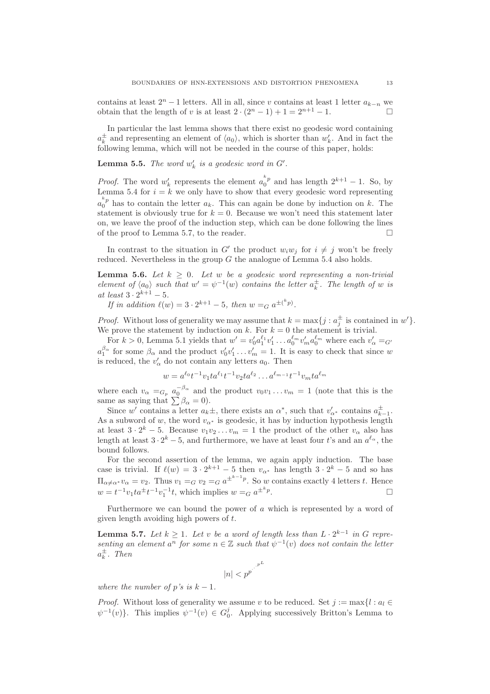contains at least  $2^{n} - 1$  letters. All in all, since v contains at least 1 letter  $a_{k-n}$  we obtain that the length of v is at least  $2 \cdot (2^{n} - 1) + 1 = 2^{n+1} - 1$ obtain that the length of v is at least  $2 \cdot (2^{n} - 1) + 1 = 2^{n+1} - 1$ .

In particular the last lemma shows that there exist no geodesic word containing  $a_k^{\pm}$  and representing an element of  $\langle a_0 \rangle$ , which is shorter than  $w'_k$ . And in fact the following lemma, which will not be needed in the course of this paper, holds:

**Lemma 5.5.** The word  $w'_k$  is a geodesic word in  $G'$ .

*Proof.* The word  $w'_k$  represents the element  $a_0^{k_p}$  and has length  $2^{k+1} - 1$ . So, by Lemma 5.4 for  $i = \kappa$  we only have to show that every geodesic word representing  $a_0^{k_p}$  has to contain the letter  $a_k$ . This can again be done by induction on k. The statement is obviously true for  $k = 0$ . Because we won't need this statement later on, we leave the proof of the induction step, which can be done following the lines of the proof to Lemma 5.7, to the reader.  $\Box$ 

In contrast to the situation in G' the product  $w_i w_j$  for  $i \neq j$  won't be freely reduced. Nevertheless in the group G the analogue of Lemma 5.4 also holds.

**Lemma 5.6.** Let  $k \geq 0$ . Let w be a geodesic word representing a non-trivial element of  $\langle a_0 \rangle$  such that  $w' = \psi^{-1}(w)$  contains the letter  $a_k^{\pm}$ . The length of w is at least  $3 \cdot 2^{k+1} - 5$ .

If in addition  $\ell(w) = 3 \cdot 2^{k+1} - 5$ , then  $w =_G a^{\pm {k \choose p}}$ .

*Proof.* Without loss of generality we may assume that  $k = \max\{j : a_j^{\pm} \text{ is contained in } w'\}.$ We prove the statement by induction on k. For  $k = 0$  the statement is trivial.

For  $k > 0$ , Lemma 5.1 yields that  $w' = v'_0 a_1^{\ell_1} v'_1 \dots a_0^{\ell_m} v'_m a_0^{\ell_m}$  where each  $v'_\alpha =_{G'}$  $a_1^{\beta_\alpha}$  for some  $\beta_\alpha$  and the product  $v'_0v'_1 \dots v'_m = 1$ . It is easy to check that since w is reduced, the  $v'_{\alpha}$  do not contain any letters  $a_0$ . Then

 $w = a^{\ell_0} t^{-1} v_1 t a^{\ell_1} t^{-1} v_2 t a^{\ell_2} \dots a^{\ell_{m-1}} t^{-1} v_m t a^{\ell_m}$ 

where each  $v_{\alpha} =_{G_p} a_0^{-\beta_{\alpha}}$  and the product  $v_0v_1 \ldots v_m = 1$  (note that this is the same as saying that  $\sum \beta_{\alpha} = 0$ ).

Since w' contains a letter  $a_k \pm$ , there exists an  $\alpha^*$ , such that  $v'_{\alpha^*}$  contains  $a_{k-1}^{\pm}$ . As a subword of w, the word  $v_{\alpha^*}$  is geodesic, it has by induction hypothesis length at least  $3 \cdot 2^k - 5$ . Because  $v_1v_2 \ldots v_m = 1$  the product of the other  $v_\alpha$  also has length at least  $3 \cdot 2^k - 5$ , and furthermore, we have at least four t's and an  $a^{\ell_{\alpha}}$ , the bound follows.

For the second assertion of the lemma, we again apply induction. The base case is trivial. If  $\ell(w) = 3 \cdot 2^{k+1} - 5$  then  $v_{\alpha^*}$  has length  $3 \cdot 2^k - 5$  and so has  $\Pi_{\alpha \neq \alpha^*} v_{\alpha} = v_2$ . Thus  $v_1 =_G v_2 =_G a^{\pm^{k-1}p}$ . So w contains exactly 4 letters t. Hence  $w = t^{-1}v_1ta^{\pm}t^{-1}v_1^{-1}t$ , which implies  $w = G a^{\pm k}p$ . — Первый процесс в серверності процесс в серверності процесс в серверності процесс в серверності процесс в с<br>Процесс в серверності процесс в серверності процесс в серверності процесс в серверності процесс в серверності

Furthermore we can bound the power of a which is represented by a word of given length avoiding high powers of t.

**Lemma 5.7.** Let  $k \geq 1$ . Let v be a word of length less than  $L \cdot 2^{k-1}$  in G representing an element  $a^n$  for some  $n \in \mathbb{Z}$  such that  $\psi^{-1}(v)$  does not contain the letter  $a_k^{\pm}$ . Then

$$
|n| < {p^{p}}^{\cdot^{\cdot^{\cdot^{p^{L}}}}}
$$

where the number of p's is  $k-1$ .

*Proof.* Without loss of generality we assume v to be reduced. Set  $j := max\{l : a_l \in$  $\psi^{-1}(v)$ . This implies  $\psi^{-1}(v) \in G_0^j$ . Applying successively Britton's Lemma to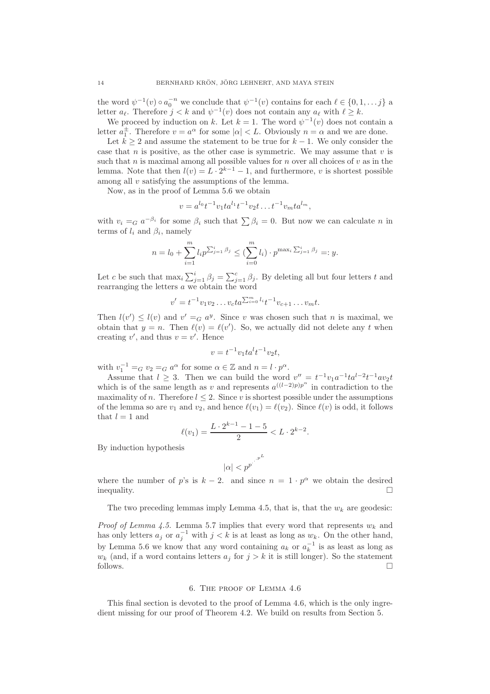the word  $\psi^{-1}(v) \circ a_0^{-n}$  we conclude that  $\psi^{-1}(v)$  contains for each  $\ell \in \{0, 1, \dots, j\}$  a letter  $a_{\ell}$ . Therefore  $j < k$  and  $\psi^{-1}(v)$  does not contain any  $a_{\ell}$  with  $\ell \geq k$ .

We proceed by induction on k. Let  $k = 1$ . The word  $\psi^{-1}(v)$  does not contain a letter  $a_1^{\pm}$ . Therefore  $v = a^{\alpha}$  for some  $|\alpha| < L$ . Obviously  $n = \alpha$  and we are done.

Let  $k \geq 2$  and assume the statement to be true for  $k-1$ . We only consider the case that n is positive, as the other case is symmetric. We may assume that  $v$  is such that  $n$  is maximal among all possible values for  $n$  over all choices of  $v$  as in the lemma. Note that then  $l(v) = L \cdot 2^{k-1} - 1$ , and furthermore, v is shortest possible among all v satisfying the assumptions of the lemma.

Now, as in the proof of Lemma 5.6 we obtain

$$
v = a^{l_0} t^{-1} v_1 t a^{l_1} t^{-1} v_2 t \dots t^{-1} v_m t a^{l_m},
$$

with  $v_i =_G a^{-\beta_i}$  for some  $\beta_i$  such that  $\sum \beta_i = 0$ . But now we can calculate n in terms of  $l_i$  and  $\beta_i$ , namely

$$
n = l_0 + \sum_{i=1}^{m} l_i p^{\sum_{j=1}^{i} \beta_j} \leq (\sum_{i=0}^{m} l_i) \cdot p^{\max_i \sum_{j=1}^{i} \beta_j} =: y.
$$

Let c be such that  $\max_i \sum_{j=1}^i \beta_j = \sum_{j=1}^c \beta_j$ . By deleting all but four letters t and rearranging the letters a we obtain the word

$$
v' = t^{-1}v_1v_2 \dots v_c ta^{\sum_{i=0}^{m}l_i} t^{-1}v_{c+1} \dots v_m t.
$$

Then  $l(v') \leq l(v)$  and  $v' = G a^y$ . Since v was chosen such that n is maximal, we obtain that  $y = n$ . Then  $\ell(v) = \ell(v')$ . So, we actually did not delete any t when creating  $v'$ , and thus  $v = v'$ . Hence

$$
v = t^{-1}v_1ta^lt^{-1}v_2t,
$$

with  $v_1^{-1} =_G v_2 =_G a^{\alpha}$  for some  $\alpha \in \mathbb{Z}$  and  $n = l \cdot p^{\alpha}$ .

Assume that  $l \geq 3$ . Then we can build the word  $v'' = t^{-1}v_1a^{-1}ta^{l-2}t^{-1}av_2t$ which is of the same length as v and represents  $a^{((l-2)p)p^{\alpha}}$  in contradiction to the maximality of n. Therefore  $l \leq 2$ . Since v is shortest possible under the assumptions of the lemma so are  $v_1$  and  $v_2$ , and hence  $\ell(v_1) = \ell(v_2)$ . Since  $\ell(v)$  is odd, it follows that  $l = 1$  and

$$
\ell(v_1) = \frac{L \cdot 2^{k-1} - 1 - 5}{2} < L \cdot 2^{k-2}.
$$

By induction hypothesis

$$
|\alpha| < p^{p^{\cdot^{\cdot^{\cdot^{p^{L}}}}}}
$$

where the number of p's is  $k - 2$ . and since  $n = 1 \cdot p^{\alpha}$  we obtain the desired  $\Box$ inequality.

The two preceding lemmas imply Lemma 4.5, that is, that the  $w_k$  are geodesic:

*Proof of Lemma 4.5.* Lemma 5.7 implies that every word that represents  $w_k$  and has only letters  $a_j$  or  $a_j^{-1}$  with  $j < k$  is at least as long as  $w_k$ . On the other hand, by Lemma 5.6 we know that any word containing  $a_k$  or  $a_k^{-1}$  is as least as long as  $w_k$  (and, if a word contains letters  $a_j$  for  $j > k$  it is still longer). So the statement follows.  $\Box$ 

### 6. The proof of Lemma 4.6

This final section is devoted to the proof of Lemma 4.6, which is the only ingredient missing for our proof of Theorem 4.2. We build on results from Section 5.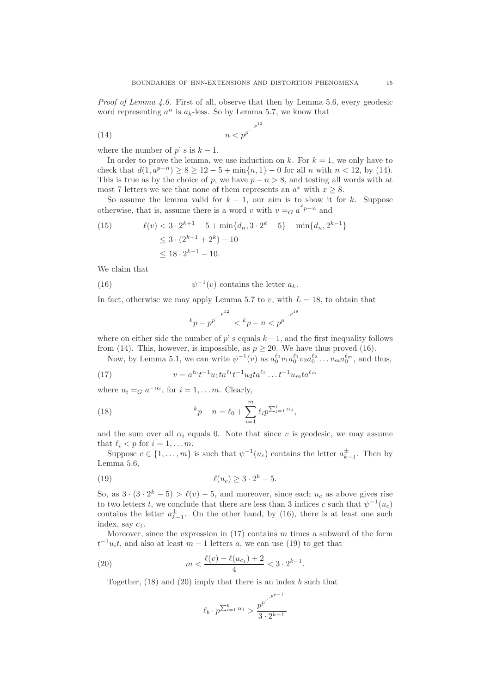Proof of Lemma 4.6. First of all, observe that then by Lemma 5.6, every geodesic word representing  $a^n$  is  $a_k$ -less. So by Lemma 5.7, we know that

$$
(14) \t\t n < p^{p^{1-p^{12}}}
$$

where the number of p' s is  $k-1$ .

In order to prove the lemma, we use induction on k. For  $k = 1$ , we only have to check that  $d(1, a^{p-n}) \ge 8 \ge 12 - 5 + \min\{n, 1\} - 0$  for all n with  $n < 12$ , by (14). This is true as by the choice of p, we have  $p - n > 8$ , and testing all words with at most 7 letters we see that none of them represents an  $a^x$  with  $x \ge 8$ .

So assume the lemma valid for  $k - 1$ , our aim is to show it for k. Suppose otherwise, that is, assume there is a word v with  $v = G a^{k p - n}$  and

(15) 
$$
\ell(v) < 3 \cdot 2^{k+1} - 5 + \min\{d_n, 3 \cdot 2^k - 5\} - \min\{d_n, 2^{k-1}\} \le 3 \cdot (2^{k+1} + 2^k) - 10 \le 18 \cdot 2^{k-1} - 10.
$$

We claim that

(16) 
$$
\psi^{-1}(v) \text{ contains the letter } a_k.
$$

In fact, otherwise we may apply Lemma 5.7 to v, with  $L = 18$ , to obtain that

$$
^{k}p-p^{p^{\cdot ^{\cdot ^{p^{12}}}}}<^{k}p-n
$$

where on either side the number of  $p'$  s equals  $k - 1$ , and the first inequality follows from (14). This, however, is impossible, as  $p \geq 20$ . We have thus proved (16).

Now, by Lemma 5.1, we can write  $\psi^{-1}(v)$  as  $a_0^{\ell_0}v_1a_0^{\ell_1}v_2a_0^{\ell_2}\dots v_ma_0^{\ell_m}$ , and thus,

(17) 
$$
v = a^{\ell_0} t^{-1} u_1 t a^{\ell_1} t^{-1} u_2 t a^{\ell_2} \dots t^{-1} u_m t a^{\ell_m}
$$

where  $u_i =_G a^{-\alpha_i}$ , for  $i = 1, \ldots m$ . Clearly,

(18) 
$$
{}^{k}p - n = \ell_0 + \sum_{i=1}^{m} \ell_i p^{\sum_{j=1}^{i} \alpha_j},
$$

and the sum over all  $\alpha_i$  equals 0. Note that since v is geodesic, we may assume that  $\ell_i < p$  for  $i = 1, \ldots m$ .

Suppose  $c \in \{1, ..., m\}$  is such that  $\psi^{-1}(u_c)$  contains the letter  $a_{k-1}^{\pm}$ . Then by Lemma 5.6,

$$
\ell(u_c) \ge 3 \cdot 2^k - 5.
$$

So, as  $3 \cdot (3 \cdot 2^k - 5) > \ell(v) - 5$ , and moreover, since each  $u_c$  as above gives rise to two letters t, we conclude that there are less than 3 indices c such that  $\psi^{-1}(u_c)$ contains the letter  $a_{k-1}^{\pm}$ . On the other hand, by (16), there is at least one such index, say  $c_1$ .

Moreover, since the expression in  $(17)$  contains m times a subword of the form  $t^{-1}u_i t$ , and also at least  $m-1$  letters a, we can use (19) to get that

(20) 
$$
m < \frac{\ell(v) - \ell(u_{c_1}) + 2}{4} < 3 \cdot 2^{k-1}.
$$

Together,  $(18)$  and  $(20)$  imply that there is an index b such that

$$
\ell_b \cdot p^{\sum_{i=1}^b \alpha_j} > \frac{p^{p^{\cdot}}}{3 \cdot 2^{k-1}}
$$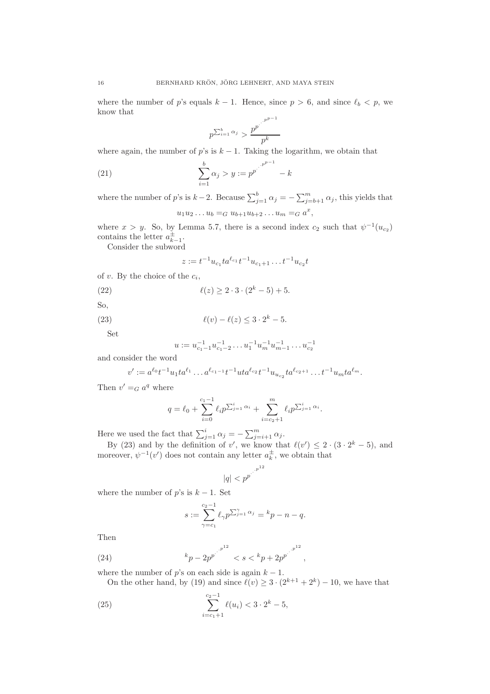where the number of p's equals  $k - 1$ . Hence, since  $p > 6$ , and since  $\ell_b < p$ , we know that

$$
p^{\sum_{i=1}^b \alpha_j} > \frac{p^{p^{\cdot}}}{p^k}
$$

where again, the number of p's is  $k - 1$ . Taking the logarithm, we obtain that

(21) 
$$
\sum_{i=1}^{b} \alpha_j > y := p^{p^{j}}^{p^{p-1}} - k
$$

where the number of p's is  $k-2$ . Because  $\sum_{j=1}^{b} \alpha_j = -\sum_{j=b+1}^{m} \alpha_j$ , this yields that x

$$
u_1 u_2 \dots u_b =_G u_{b+1} u_{b+2} \dots u_m =_G a^x,
$$

where  $x > y$ . So, by Lemma 5.7, there is a second index  $c_2$  such that  $\psi^{-1}(u_{c_2})$ contains the letter  $a_{k-1}^{\pm}$ .

Consider the subword

$$
z := t^{-1} u_{c_1} t a^{\ell_{c_1}} t^{-1} u_{c_1+1} \dots t^{-1} u_{c_2} t
$$

- of v. By the choice of the  $c_i$ ,
- (22)  $\ell(z) > 2 \cdot 3 \cdot (2^k 5) + 5.$

So,

(23) 
$$
\ell(v) - \ell(z) \leq 3 \cdot 2^k - 5.
$$

Set

$$
u := u_{c_1-1}^{-1} u_{c_1-2}^{-1} \dots u_1^{-1} u_m^{-1} u_{m-1}^{-1} \dots u_{c_2}^{-1}
$$

and consider the word

$$
v':=a^{\ell_0}t^{-1}u_1ta^{\ell_1}\dots a^{\ell_{c_1-1}}t^{-1}uta^{\ell_{c_2}}t^{-1}u_{u_{c_2}}ta^{\ell_{c_2+1}}\dots t^{-1}u_mta^{\ell_m}.
$$

Then  $v' =_G a^q$  where

$$
q = \ell_0 + \sum_{i=0}^{c_1-1} \ell_i p^{\sum_{j=1}^i \alpha_i} + \sum_{i=c_2+1}^m \ell_i p^{\sum_{j=1}^i \alpha_i}.
$$

Here we used the fact that  $\sum_{j=1}^{i} \alpha_j = -\sum_{j=i+1}^{m} \alpha_j$ .

By (23) and by the definition of v', we know that  $\ell(v') \leq 2 \cdot (3 \cdot 2^k - 5)$ , and moreover,  $\psi^{-1}(v')$  does not contain any letter  $a_k^{\pm}$ , we obtain that

$$
|q| < {p^{p}}^{\cdot^{\cdot^{\cdot^{p^{12}}}}}
$$

where the number of  $p$ 's is  $k - 1$ . Set

$$
s := \sum_{\gamma=c_1}^{c_2-1} \ell_{\gamma} p^{\sum_{j=1}^{\gamma} \alpha_j} = {}^{k}p - n - q.
$$

Then

(24) 
$$
k_{p-2p^{p}} \left( z^{p^{12}} \right) < s < k_{p+2p^{p}} \left( z^{p^{12}} \right),
$$

where the number of p's on each side is again  $k - 1$ .

On the other hand, by (19) and since  $\ell(v) \geq 3 \cdot (2^{k+1} + 2^k) - 10$ , we have that

(25) 
$$
\sum_{i=c_1+1}^{c_2-1} \ell(u_i) < 3 \cdot 2^k - 5,
$$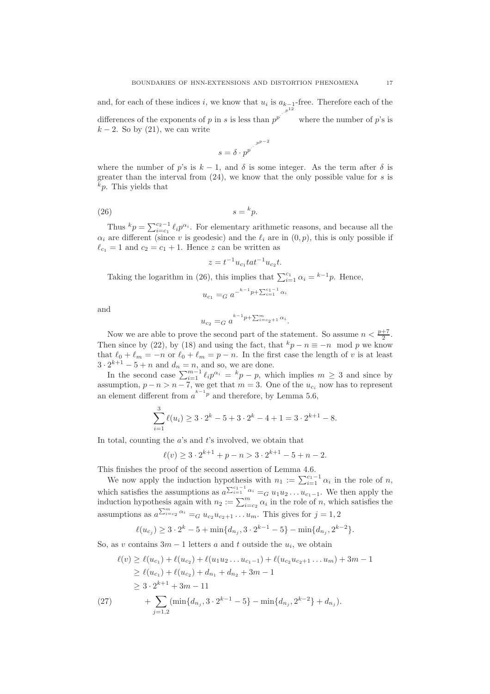and, for each of these indices i, we know that  $u_i$  is  $a_{k-1}$ -free. Therefore each of the differences of the exponents of p in s is less than  $p^p$ p where the number of  $p$ 's is  $k-2$ . So by (21), we can write

$$
s = \delta \cdot p^{p^{p^{p^{p-2}}}}
$$

where the number of p's is  $k - 1$ , and  $\delta$  is some integer. As the term after  $\delta$  is greater than the interval from  $(24)$ , we know that the only possible value for s is  $k_p$ . This yields that

$$
(26) \t\t s = {}^k p.
$$

Thus  ${}^k p = \sum_{i=c_1}^{c_2-1} \ell_i p^{\alpha_i}$ . For elementary arithmetic reasons, and because all the  $\alpha_i$  are different (since v is geodesic) and the  $\ell_i$  are in  $(0, p)$ , this is only possible if  $\ell_{c_1} = 1$  and  $c_2 = c_1 + 1$ . Hence z can be written as

$$
z = t^{-1}u_{c_1}tat^{-1}u_{c_2}t.
$$

Taking the logarithm in (26), this implies that  $\sum_{i=1}^{c_1} \alpha_i = {}^{k-1}p$ . Hence,

$$
u_{c_1} =_G a^{-k-1} p + \sum_{i=1}^{c_1-1} \alpha_i
$$

and

$$
u_{c_2} = G a^{k-1} p + \sum_{i=c_2+1}^{m} \alpha_i.
$$

Now we are able to prove the second part of the statement. So assume  $n < \frac{p+7}{2}$ . Then since by (22), by (18) and using the fact, that  $k p - n \equiv -n \mod p$  we know that  $\ell_0 + \ell_m = -n$  or  $\ell_0 + \ell_m = p - n$ . In the first case the length of v is at least  $3 \cdot 2^{k+1} - 5 + n$  and  $d_n = n$ , and so, we are done.

In the second case  $\sum_{i=1}^{m-1} \ell_i p^{\alpha_i} = {}^k p - p$ , which implies  $m \geq 3$  and since by assumption,  $p - n > n - 7$ , we get that  $m = 3$ . One of the  $u_{c_i}$  now has to represent an element different from  $a^{k-1}$ <sup>p</sup> and therefore, by Lemma 5.6,

$$
\sum_{i=1}^{3} \ell(u_i) \ge 3 \cdot 2^k - 5 + 3 \cdot 2^k - 4 + 1 = 3 \cdot 2^{k+1} - 8.
$$

In total, counting the  $a$ 's and  $t$ 's involved, we obtain that

$$
\ell(v) \ge 3 \cdot 2^{k+1} + p - n > 3 \cdot 2^{k+1} - 5 + n - 2.
$$

This finishes the proof of the second assertion of Lemma 4.6.

We now apply the induction hypothesis with  $n_1 := \sum_{i=1}^{c_1-1} \alpha_i$  in the role of n, which satisfies the assumptions as  $a^{\sum_{i=1}^{c_1-1} \alpha_i} =_G u_1 u_2 \ldots u_{c_1-1}$ . We then apply the induction hypothesis again with  $n_2 := \sum_{i=c_2}^m \alpha_i$  in the role of n, which satisfies the assumptions as  $a^{\sum_{i=c_2}^{m} \alpha_i} =_G u_{c_2} u_{c_2+1} \dots u_m$ . This gives for  $j=1,2$ 

$$
\ell(u_{c_j}) \ge 3 \cdot 2^k - 5 + \min\{d_{n_j}, 3 \cdot 2^{k-1} - 5\} - \min\{d_{n_j}, 2^{k-2}\}.
$$

So, as v contains  $3m - 1$  letters a and t outside the  $u_i$ , we obtain

$$
\ell(v) \geq \ell(u_{c_1}) + \ell(u_{c_2}) + \ell(u_1u_2 \dots u_{c_1-1}) + \ell(u_{c_2}u_{c_2+1} \dots u_m) + 3m - 1
$$
  
\n
$$
\geq \ell(u_{c_1}) + \ell(u_{c_2}) + d_{n_1} + d_{n_2} + 3m - 1
$$
  
\n
$$
\geq 3 \cdot 2^{k+1} + 3m - 11
$$
  
\n(27)  
\n
$$
+ \sum_{j=1,2} (\min\{d_{n_j}, 3 \cdot 2^{k-1} - 5\} - \min\{d_{n_j}, 2^{k-2}\} + d_{n_j}).
$$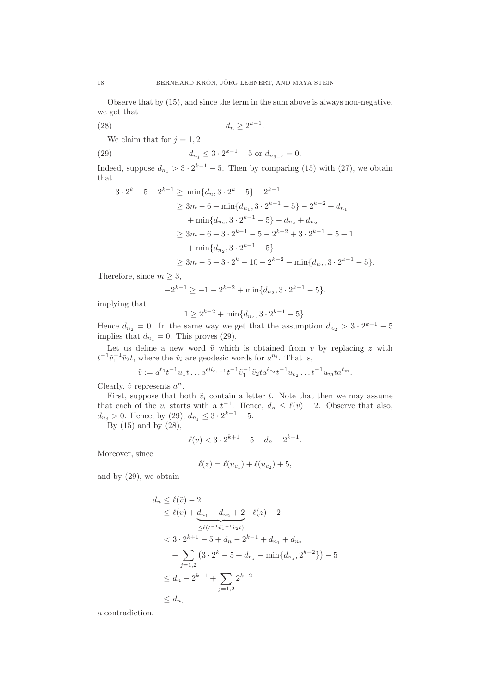Observe that by (15), and since the term in the sum above is always non-negative, we get that

(28)  $d_n \geq 2^{k-1}$ .

We claim that for  $j = 1, 2$ 

(29) 
$$
d_{n_j} \leq 3 \cdot 2^{k-1} - 5 \text{ or } d_{n_{3-j}} = 0.
$$

Indeed, suppose  $d_{n_1} > 3 \cdot 2^{k-1} - 5$ . Then by comparing (15) with (27), we obtain that k−1

$$
3 \cdot 2^{k} - 5 - 2^{k-1} \ge \min\{d_n, 3 \cdot 2^{k} - 5\} - 2^{k-1}
$$
  
\n
$$
\ge 3m - 6 + \min\{d_{n_1}, 3 \cdot 2^{k-1} - 5\} - 2^{k-2} + d_{n_1}
$$
  
\n
$$
+ \min\{d_{n_2}, 3 \cdot 2^{k-1} - 5\} - d_{n_2} + d_{n_2}
$$
  
\n
$$
\ge 3m - 6 + 3 \cdot 2^{k-1} - 5 - 2^{k-2} + 3 \cdot 2^{k-1} - 5 + 1
$$
  
\n
$$
+ \min\{d_{n_2}, 3 \cdot 2^{k-1} - 5\}
$$
  
\n
$$
\ge 3m - 5 + 3 \cdot 2^{k} - 10 - 2^{k-2} + \min\{d_{n_2}, 3 \cdot 2^{k-1} - 5\}.
$$

Therefore, since  $m \geq 3$ ,

$$
-2^{k-1} \ge -1 - 2^{k-2} + \min\{d_{n_2}, 3 \cdot 2^{k-1} - 5\},\
$$

implying that

$$
1 \ge 2^{k-2} + \min\{d_{n_2}, 3 \cdot 2^{k-1} - 5\}.
$$

Hence  $d_{n_2} = 0$ . In the same way we get that the assumption  $d_{n_2} > 3 \cdot 2^{k-1} - 5$ implies that  $d_{n_1} = 0$ . This proves (29).

Let us define a new word  $\tilde{v}$  which is obtained from v by replacing z with  $t^{-1}\tilde{v}_1^{-1}\tilde{v}_2t$ , where the  $\tilde{v}_i$  are geodesic words for  $a^{n_i}$ . That is,

$$
\tilde{v} := a^{\ell_0} t^{-1} u_1 t \dots a^{ell_{c_1-1}} t^{-1} \tilde{v}_1^{-1} \tilde{v}_2 t a^{\ell_{c_2}} t^{-1} u_{c_2} \dots t^{-1} u_m t a^{\ell_m}.
$$

Clearly,  $\tilde{v}$  represents  $a^n$ .

First, suppose that both  $\tilde{v}_i$  contain a letter t. Note that then we may assume that each of the  $\tilde{v}_i$  starts with a  $t^{-1}$ . Hence,  $d_n \leq \ell(\tilde{v}) - 2$ . Observe that also,  $d_{n_j} > 0$ . Hence, by (29),  $d_{n_j} \leq 3 \cdot 2^{k-1} - 5$ .

By  $(15)$  and by  $(28)$ ,

$$
\ell(v) < 3 \cdot 2^{k+1} - 5 + d_n - 2^{k-1}.
$$

Moreover, since

$$
\ell(z) = \ell(u_{c_1}) + \ell(u_{c_2}) + 5,
$$

and by (29), we obtain

$$
d_n \leq \ell(\tilde{v}) - 2
$$
  
\n
$$
\leq \ell(v) + \underbrace{d_{n_1} + d_{n_2} + 2}_{\leq \ell(t^{-1}\tilde{v_1} - 1\tilde{v_2}t)}
$$
  
\n
$$
< 3 \cdot 2^{k+1} - 5 + d_n - 2^{k-1} + d_{n_1} + d_{n_2}
$$
  
\n
$$
- \sum_{j=1,2} \left( 3 \cdot 2^k - 5 + d_{n_j} - \min\{d_{n_j}, 2^{k-2}\}\right) - 5
$$
  
\n
$$
\leq d_n - 2^{k-1} + \sum_{j=1,2} 2^{k-2}
$$
  
\n
$$
\leq d_n,
$$

a contradiction.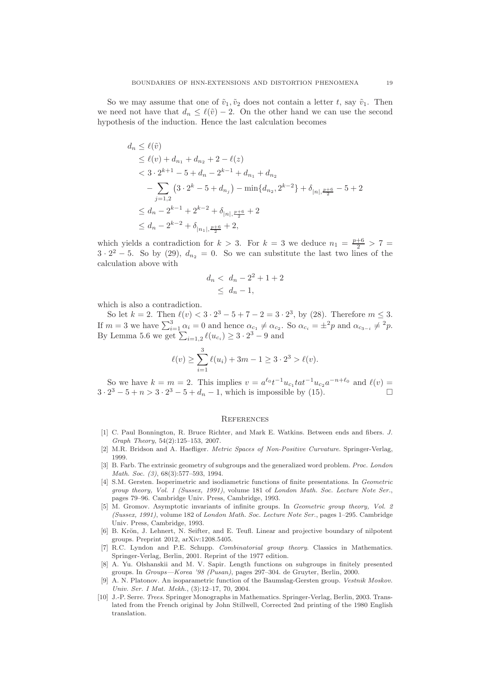So we may assume that one of  $\tilde{v}_1, \tilde{v}_2$  does not contain a letter t, say  $\tilde{v}_1$ . Then we need not have that  $d_n \leq \ell(\tilde{v}) - 2$ . On the other hand we can use the second hypothesis of the induction. Hence the last calculation becomes

$$
d_n \leq \ell(\tilde{v})
$$
  
\n
$$
\leq \ell(v) + d_{n_1} + d_{n_2} + 2 - \ell(z)
$$
  
\n
$$
< 3 \cdot 2^{k+1} - 5 + d_n - 2^{k-1} + d_{n_1} + d_{n_2}
$$
  
\n
$$
- \sum_{j=1,2} \left( 3 \cdot 2^k - 5 + d_{n_j} \right) - \min \{ d_{n_2}, 2^{k-2} \} + \delta_{|n|, \frac{p+6}{2}} - 5 + 2
$$
  
\n
$$
\leq d_n - 2^{k-1} + 2^{k-2} + \delta_{|n|, \frac{p+6}{2}} + 2
$$
  
\n
$$
\leq d_n - 2^{k-2} + \delta_{|n_1|, \frac{p+6}{2}} + 2,
$$

which yields a contradiction for  $k > 3$ . For  $k = 3$  we deduce  $n_1 = \frac{p+6}{2} > 7 =$  $3 \cdot 2^2 - 5$ . So by (29),  $d_{n_2} = 0$ . So we can substitute the last two lines of the calculation above with

$$
d_n < d_n - 2^2 + 1 + 2 \\
\leq d_n - 1,
$$

which is also a contradiction.

So let  $k = 2$ . Then  $\ell(v) < 3 \cdot 2^3 - 5 + 7 - 2 = 3 \cdot 2^3$ , by (28). Therefore  $m \leq 3$ . If  $m=3$  we have  $\sum_{i=1}^{3} \alpha_i = 0$  and hence  $\alpha_{c_1} \neq \alpha_{c_2}$ . So  $\alpha_{c_i} = \pm^2 p$  and  $\alpha_{c_{3-i}} \neq^2 p$ . By Lemma 5.6 we get  $\sum_{i=1,2} \ell(u_{c_i}) \ge 3 \cdot 2^3 - 9$  and

$$
\ell(v) \ge \sum_{i=1}^3 \ell(u_i) + 3m - 1 \ge 3 \cdot 2^3 > \ell(v).
$$

So we have  $k = m = 2$ . This implies  $v = a^{\ell_0} t^{-1} u_{c_1} t a t^{-1} u_{c_2} a^{-n+\ell_0}$  and  $\ell(v) =$  $3 \cdot 2^3 - 5 + n > 3 \cdot 2^3 - 5 + d_n - 1$ , which is impossible by (15).

### **REFERENCES**

- [1] C. Paul Bonnington, R. Bruce Richter, and Mark E. Watkins. Between ends and fibers. J. Graph Theory, 54(2):125–153, 2007.
- [2] M.R. Bridson and A. Haefliger. Metric Spaces of Non-Positive Curvature. Springer-Verlag, 1999.
- [3] B. Farb. The extrinsic geometry of subgroups and the generalized word problem. Proc. London Math. Soc. (3), 68(3):577-593, 1994.
- [4] S.M. Gersten. Isoperimetric and isodiametric functions of finite presentations. In Geometric group theory, Vol. 1 (Sussex, 1991), volume 181 of London Math. Soc. Lecture Note Ser., pages 79–96. Cambridge Univ. Press, Cambridge, 1993.
- [5] M. Gromov. Asymptotic invariants of infinite groups. In Geometric group theory, Vol. 2 (Sussex, 1991), volume 182 of London Math. Soc. Lecture Note Ser., pages 1–295. Cambridge Univ. Press, Cambridge, 1993.
- [6] B. Krön, J. Lehnert, N. Seifter, and E. Teufl. Linear and projective boundary of nilpotent groups. Preprint 2012, arXiv:1208.5405.
- [7] R.C. Lyndon and P.E. Schupp. Combinatorial group theory. Classics in Mathematics. Springer-Verlag, Berlin, 2001. Reprint of the 1977 edition.
- [8] A. Yu. Olshanskii and M. V. Sapir. Length functions on subgroups in finitely presented groups. In Groups—Korea '98 (Pusan), pages 297–304. de Gruyter, Berlin, 2000.
- [9] A. N. Platonov. An isoparametric function of the Baumslag-Gersten group. Vestnik Moskov. Univ. Ser. I Mat. Mekh., (3):12–17, 70, 2004.
- [10] J.-P. Serre. Trees. Springer Monographs in Mathematics. Springer-Verlag, Berlin, 2003. Translated from the French original by John Stillwell, Corrected 2nd printing of the 1980 English translation.